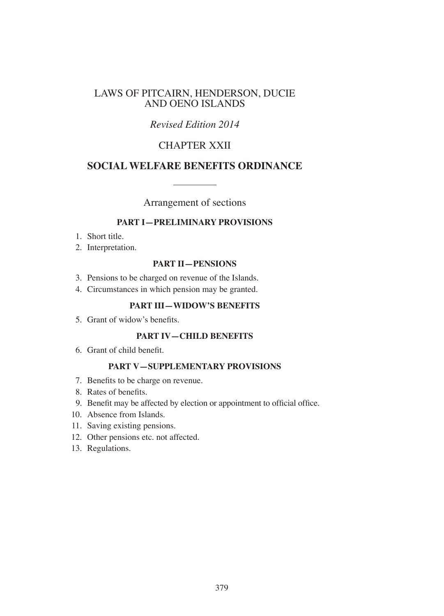# LAWS OF PITCAIRN, HENDERSON, DUCIE AND OENO ISLANDS

# *Revised Edition 2014*

# CHAPTER XXII

# **SOCIAL WELFARE BENEFITS ORDINANCE**

Arrangement of sections

# **PART I—PRELIMINARY PROVISIONS**

- 1. Short title.
- 2. Interpretation.

### **PART II—PENSIONS**

- 3. Pensions to be charged on revenue of the Islands.
- 4. Circumstances in which pension may be granted.

### **PART III—WIDOW'S BENEFITS**

5. Grant of widow's benefits.

### **PART IV—CHILD BENEFITS**

6. Grant of child benefit.

## **PART V—SUPPLEMENTARY PROVISIONS**

- 7. Benefits to be charge on revenue.
- 8. Rates of benefits.
- 9. Benefit may be affected by election or appointment to official office.
- 10. Absence from Islands.
- 11. Saving existing pensions.
- 12. Other pensions etc. not affected.
- 13. Regulations.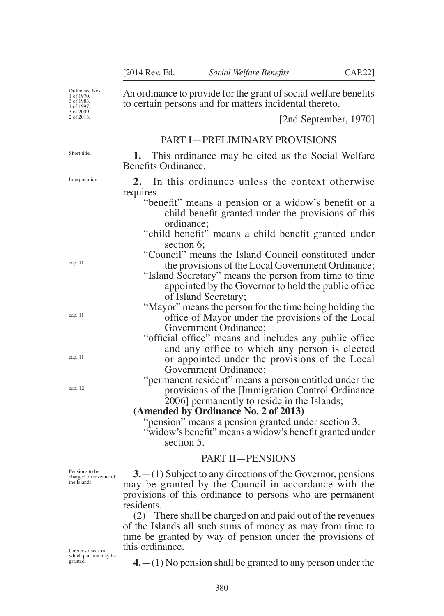An ordinance to provide for the grant of social welfare benefits

Ordinance Nos: 1 of 1970, 3 of 1983, 1 of 1997, 3 of 2009, 2 of 2013.

to certain persons and for matters incidental thereto. [2nd September, 1970]

#### PART I—PRELIMINARY PROVISIONS

Interpretation

**1.** This ordinance may be cited as the Social Welfare Benefits Ordinance.

**2.** In this ordinance unless the context otherwise requires—

- "benefit" means a pension or a widow's benefit or a child benefit granted under the provisions of this ordinance;
- "child benefit" means a child benefit granted under section 6;

"Council" means the Island Council constituted under the provisions of the Local Government Ordinance;

- "Island Secretary" means the person from time to time appointed by the Governor to hold the public office of Island Secretary;
- "Mayor" means the person for the time being holding the office of Mayor under the provisions of the Local Government Ordinance;
- "official office" means and includes any public office and any office to which any person is elected or appointed under the provisions of the Local Government Ordinance;
- "permanent resident" means a person entitled under the provisions of the [Immigration Control Ordinance 2006] permanently to reside in the Islands;

#### **(Amended by Ordinance No. 2 of 2013)**

"pension" means a pension granted under section 3; "widow's benefit" means a widow's benefit granted under section 5.

# PART II—PENSIONS

Pensions to be charged on revenue of the Islands.

**3.**—(1) Subject to any directions of the Governor, pensions may be granted by the Council in accordance with the provisions of this ordinance to persons who are permanent residents.

(2) There shall be charged on and paid out of the revenues of the Islands all such sums of money as may from time to time be granted by way of pension under the provisions of this ordinance.

Circumstances in which pension may be granted

**4.**—(1) No pension shall be granted to any person under the

Short title.

cap. 11

cap. 11

cap. 11

cap. 12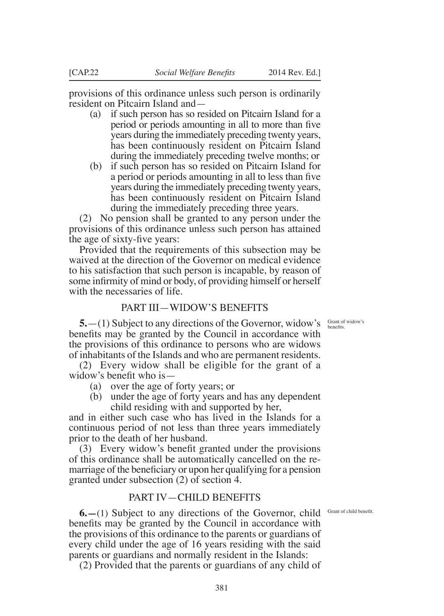provisions of this ordinance unless such person is ordinarily resident on Pitcairn Island and—

- (a) if such person has so resided on Pitcairn Island for a period or periods amounting in all to more than five years during the immediately preceding twenty years, has been continuously resident on Pitcairn Island during the immediately preceding twelve months; or
- (b) if such person has so resided on Pitcairn Island for a period or periods amounting in all to less than five years during the immediately preceding twenty years, has been continuously resident on Pitcairn Island during the immediately preceding three years.

(2) No pension shall be granted to any person under the provisions of this ordinance unless such person has attained the age of sixty-five years:

Provided that the requirements of this subsection may be waived at the direction of the Governor on medical evidence to his satisfaction that such person is incapable, by reason of some infirmity of mind or body, of providing himself or herself with the necessaries of life.

## PART III—WIDOW'S BENEFITS

Grant of widow's benefits.

**5.**—(1) Subject to any directions of the Governor, widow's benefits may be granted by the Council in accordance with the provisions of this ordinance to persons who are widows of inhabitants of the Islands and who are permanent residents.

(2) Every widow shall be eligible for the grant of a widow's benefit who is—

- (a) over the age of forty years; or
- (b) under the age of forty years and has any dependent child residing with and supported by her,

and in either such case who has lived in the Islands for a continuous period of not less than three years immediately prior to the death of her husband.

(3) Every widow's benefit granted under the provisions of this ordinance shall be automatically cancelled on the remarriage of the beneficiary or upon her qualifying for a pension granted under subsection (2) of section 4.

### PART IV—CHILD BENEFITS

**6.** - (1) Subject to any directions of the Governor, child Grant of child benefit. benefits may be granted by the Council in accordance with the provisions of this ordinance to the parents or guardians of every child under the age of 16 years residing with the said parents or guardians and normally resident in the Islands:

(2) Provided that the parents or guardians of any child of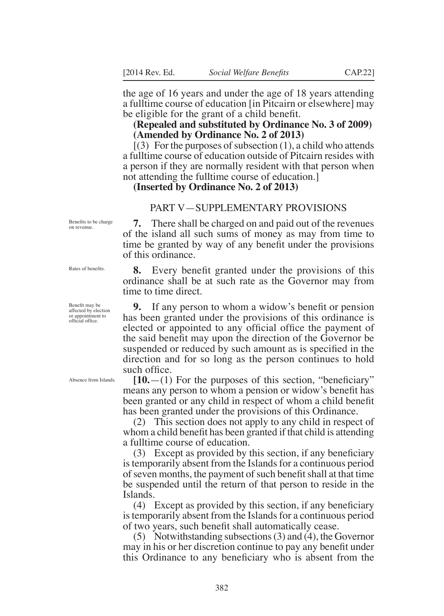the age of 16 years and under the age of 18 years attending a fulltime course of education [in Pitcairn or elsewhere] may be eligible for the grant of a child benefit.

### **(Repealed and substituted by Ordinance No. 3 of 2009) (Amended by Ordinance No. 2 of 2013)**

 $(3)$  For the purposes of subsection  $(1)$ , a child who attends a fulltime course of education outside of Pitcairn resides with a person if they are normally resident with that person when not attending the fulltime course of education.]

### **(Inserted by Ordinance No. 2 of 2013)**

#### PART V—SUPPLEMENTARY PROVISIONS

Benefits to be charge on revenue.

**7.** There shall be charged on and paid out of the revenues of the island all such sums of money as may from time to time be granted by way of any benefit under the provisions of this ordinance.

**8.** Every benefit granted under the provisions of this ordinance shall be at such rate as the Governor may from time to time direct.

**9.** If any person to whom a widow's benefit or pension has been granted under the provisions of this ordinance is elected or appointed to any official office the payment of the said benefit may upon the direction of the Governor be suspended or reduced by such amount as is specified in the direction and for so long as the person continues to hold such office.

**[10.**—(1) For the purposes of this section, "beneficiary" means any person to whom a pension or widow's benefit has been granted or any child in respect of whom a child benefit has been granted under the provisions of this Ordinance.

(2) This section does not apply to any child in respect of whom a child benefit has been granted if that child is attending a fulltime course of education.

(3) Except as provided by this section, if any beneficiary is temporarily absent from the Islands for a continuous period of seven months, the payment of such benefit shall at that time be suspended until the return of that person to reside in the Islands.

(4) Except as provided by this section, if any beneficiary is temporarily absent from the Islands for a continuous period of two years, such benefit shall automatically cease.

(5) Notwithstanding subsections (3) and (4), the Governor may in his or her discretion continue to pay any benefit under this Ordinance to any beneficiary who is absent from the

Rates of benefits.

Benefit may be affected by election or appointment to official office.

Absence from Islands.